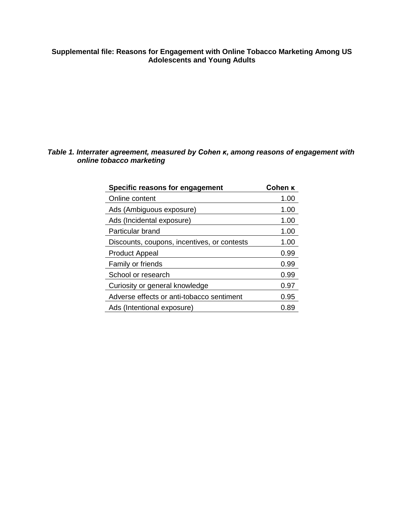## **Supplemental file: Reasons for Engagement with Online Tobacco Marketing Among US Adolescents and Young Adults**

## *Table 1. Interrater agreement, measured by Cohen κ, among reasons of engagement with online tobacco marketing*

| Specific reasons for engagement             | Cohen K |
|---------------------------------------------|---------|
| Online content                              | 1.00    |
| Ads (Ambiguous exposure)                    | 1.00    |
| Ads (Incidental exposure)                   | 1.00    |
| Particular brand                            | 1.00    |
| Discounts, coupons, incentives, or contests | 1.00    |
| <b>Product Appeal</b>                       | 0.99    |
| Family or friends                           | 0.99    |
| School or research                          | 0.99    |
| Curiosity or general knowledge              | 0.97    |
| Adverse effects or anti-tobacco sentiment   | 0.95    |
| Ads (Intentional exposure)                  | 0.89    |